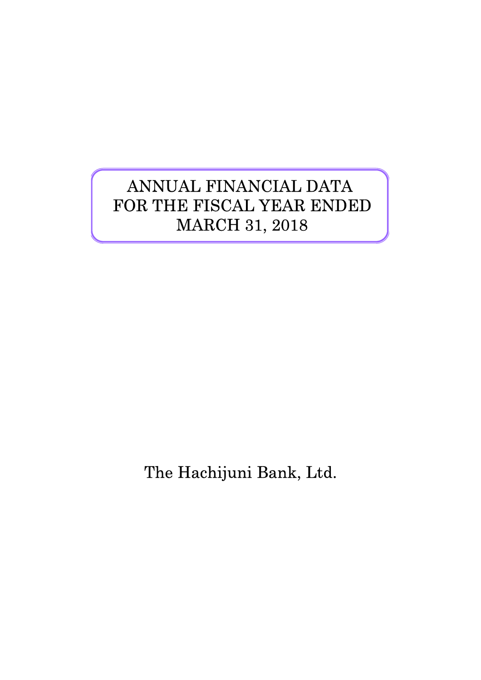# ANNUAL FINANCIAL DATA FOR THE FISCAL YEAR ENDED MARCH 31, 2018

The Hachijuni Bank, Ltd.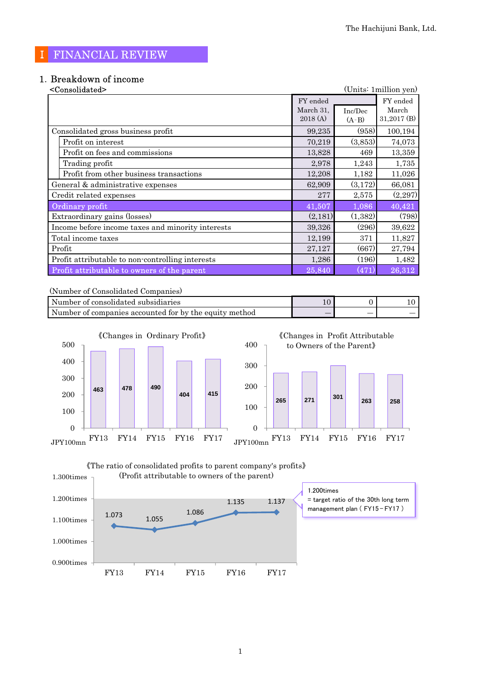## Ⅰ FINANCIAL REVIEW

# 1.Breakdown of income

| <consolidated></consolidated>                     |           |         | (Units: 1 million yen) |
|---------------------------------------------------|-----------|---------|------------------------|
|                                                   | FY ended  |         | FY ended               |
|                                                   | March 31, | Inc/Dec | March                  |
|                                                   | 2018(A)   | $(A-B)$ | $31,2017$ (B)          |
| Consolidated gross business profit                | 99,235    | (958)   | 100,194                |
| Profit on interest                                | 70,219    | (3,853) | 74,073                 |
| Profit on fees and commissions                    | 13,828    | 469     | 13,359                 |
| Trading profit                                    | 2,978     | 1,243   | 1,735                  |
| Profit from other business transactions           | 12,208    | 1,182   | 11,026                 |
| General & administrative expenses                 | 62,909    | (3,172) | 66,081                 |
| Credit related expenses                           | 277       | 2,575   | (2,297)                |
| Ordinary profit                                   | 41,507    | 1,086   | 40,421                 |
| Extraordinary gains (losses)                      | (2,181)   | (1,382) | (798)                  |
| Income before income taxes and minority interests | 39,326    | (296)   | 39,622                 |
| Total income taxes                                | 12,199    | 371     | 11,827                 |
| Profit                                            | 27,127    | (667)   | 27,794                 |
| Profit attributable to non-controlling interests  | 1,286     | (196)   | 1,482                  |
| Profit attributable to owners of the parent       | 25,840    | (471)   | 26,312                 |

(Number of Consolidated Companies)

| Number of consolidated subsidiaries                    |                          |                          |    |
|--------------------------------------------------------|--------------------------|--------------------------|----|
| Number of companies accounted for by the equity method | $\overline{\phantom{a}}$ | $\overline{\phantom{a}}$ | __ |





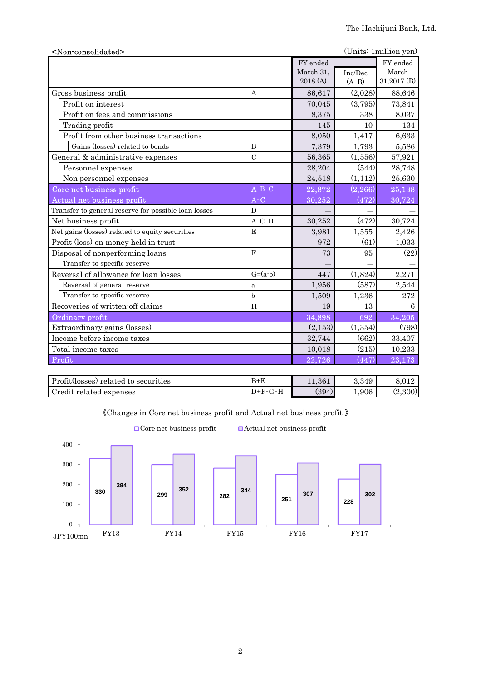| <non-consolidated></non-consolidated>                |                                            |           |          | (Units: 1million yen) |
|------------------------------------------------------|--------------------------------------------|-----------|----------|-----------------------|
|                                                      |                                            | FY ended  |          | FY ended              |
|                                                      |                                            | March 31, | Inc/Dec  | March                 |
|                                                      |                                            | 2018 (A)  | $(A-B)$  | 31,2017 (B)           |
| Gross business profit                                | A                                          | 86,617    | (2,028)  | 88,646                |
| Profit on interest                                   |                                            | 70,045    | (3,795)  | 73,841                |
| Profit on fees and commissions                       |                                            | 8,375     | 338      | 8,037                 |
| Trading profit                                       |                                            | 145       | 10       | 134                   |
| Profit from other business transactions              |                                            | 8,050     | 1,417    | 6,633                 |
| Gains (losses) related to bonds                      | $\boldsymbol{B}$                           | 7,379     | 1,793    | 5,586                 |
| General & administrative expenses                    | $\overline{C}$                             | 56,365    | (1,556)  | 57,921                |
| Personnel expenses                                   |                                            | 28,204    | (544)    | 28,748                |
| Non personnel expenses                               |                                            | 24,518    | (1,112)  | 25,630                |
| Core net business profit                             | $\mathbf{A}$ - $\mathbf{B}$ - $\mathbf{C}$ | 22,872    | (2, 266) | 25,138                |
| Actual net business profit                           | $A-C$                                      | 30,252    | (472)    | 30,724                |
| Transfer to general reserve for possible loan losses | D                                          |           |          |                       |
| Net business profit                                  | $A-C-D$                                    | 30,252    | (472)    | 30,724                |
| Net gains (losses) related to equity securities      | E                                          | 3,981     | 1,555    | 2,426                 |
| Profit (loss) on money held in trust                 |                                            | 972       | (61)     | 1,033                 |
| Disposal of nonperforming loans                      | F                                          | 73        | 95       | (22)                  |
| Transfer to specific reserve                         |                                            |           |          |                       |
| Reversal of allowance for loan losses                | $G=(a-b)$                                  | 447       | (1,824)  | 2,271                 |
| Reversal of general reserve                          | a                                          | 1,956     | (587)    | 2,544                 |
| Transfer to specific reserve                         | $\mathbf b$                                | 1,509     | 1,236    | 272                   |
| Recoveries of written-off claims                     | H                                          | 19        | 13       | 6                     |
| Ordinary profit                                      |                                            | 34,898    | 692      | 34,205                |
| Extraordinary gains (losses)                         |                                            | (2,153)   | (1,354)  | (798)                 |
| Income before income taxes                           |                                            | 32,744    | (662)    | 33,407                |
| Total income taxes                                   |                                            | 10,018    | (215)    | 10,233                |
| Profit                                               |                                            | 22,726    | (447)    | 23,173                |
|                                                      |                                            |           |          |                       |

| Profit(losses) related to securities | $B+E$ | $^{\textcolor{red}{\textbf{1.361}}}$ | 3.349 | ۔ 012             |
|--------------------------------------|-------|--------------------------------------|-------|-------------------|
| redit:<br>related expenses           | +F.   | (394)                                | 1,906 | $\lambda$ , 300)' |



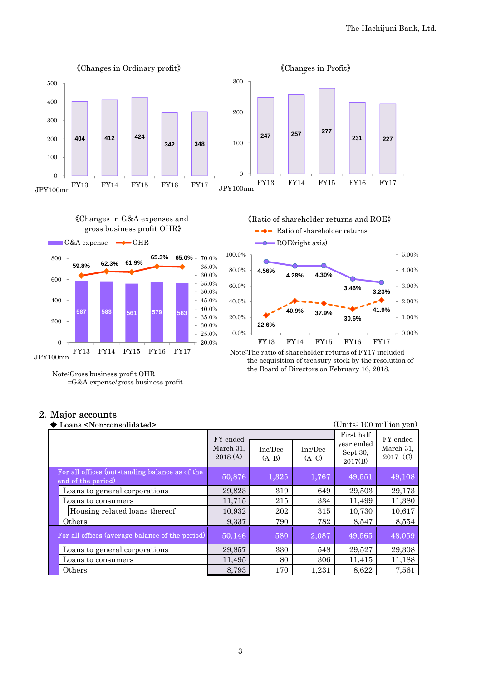



## =G&A expense/gross business profit

JPY100mn

Note:Gross business profit OHR

#### 2.Major accounts

| Loans <non-consolidated></non-consolidated>                          |                                  |                    |                    | (Units: 100 million yen)                        |                                   |
|----------------------------------------------------------------------|----------------------------------|--------------------|--------------------|-------------------------------------------------|-----------------------------------|
|                                                                      | FY ended<br>March 31,<br>2018(A) | Inc/Dec<br>$(A-B)$ | Inc/Dec<br>$(A-C)$ | First half<br>year ended<br>Sept.30,<br>2017(B) | FY ended<br>March 31,<br>2017 (C) |
| For all offices (outstanding balance as of the<br>end of the period) | 50,876                           | 1,325              | 1,767              | 49,551                                          | 49,108                            |
| Loans to general corporations                                        | 29,823                           | 319                | 649                | 29,503                                          | 29,173                            |
| Loans to consumers                                                   | 11,715                           | 215                | 334                | 11,499                                          | 11,380                            |
| Housing related loans thereof                                        | 10,932                           | 202                | 315                | 10,730                                          | 10,617                            |
| Others                                                               | 9,337                            | 790                | 782                | 8,547                                           | 8,554                             |
| For all offices (average balance of the period)                      | 50,146                           | 580                | 2,087              | 49,565                                          | 48,059                            |
| Loans to general corporations                                        | 29,857                           | 330                | 548                | 29,527                                          | 29,308                            |
| Loans to consumers                                                   | 11,495                           | 80                 | 306                | 11,415                                          | 11,188                            |
| Others                                                               | 8,793                            | 170                | 1,231              | 8,622                                           | 7,561                             |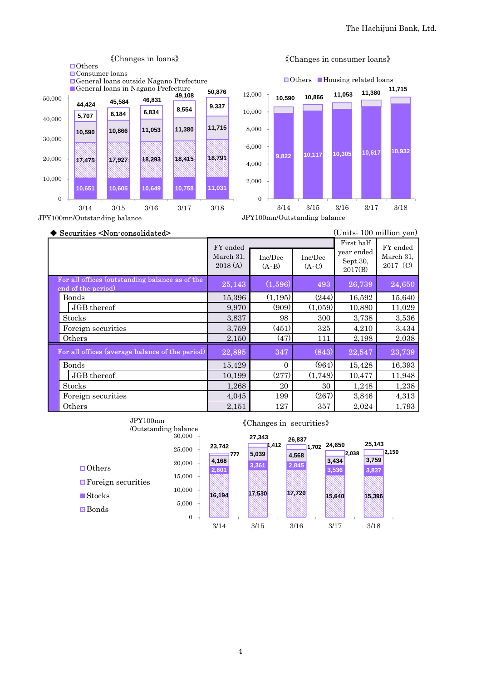

#### 《Changes in consumer loans》

◆ Securities <Non-consolidated> (Units: 100 million yen) Inc/Dec  $(A-B)$ Inc/Dec  $(A-C)$ 25,143 (1,596) 493 26,739 24,650 Bonds 15,396 (1,195) (244) 16,592 15,640 JGB thereof 9,970 (909) (1,059) 10,880 11,029 Stocks 3,837 98 300 3,738 3,536 Foreign securities 1 3,759 (451) 325 4,210 3,434 Others 2,150 (47) 111 2,198 2,038 22,895 347 (843) 22,547 23,739 Bonds 15,429 0 (964) 15,428 16,393 JGB thereof 10,199 (277) (1,748) 10,477 11,948 Stocks 1,268 20 30 1,248 1,238 Foreign securities 1,045 199 (267) 3,846 4,313 Others 2,151 127 357 2,024 1,793 For all offices (outstanding balance as of the end of the period) For all offices (average balance of the period) FY ended March 31, 2017(C) FY ended March 31, 2018 (A) First half year ended Sept.30, 2017(B)

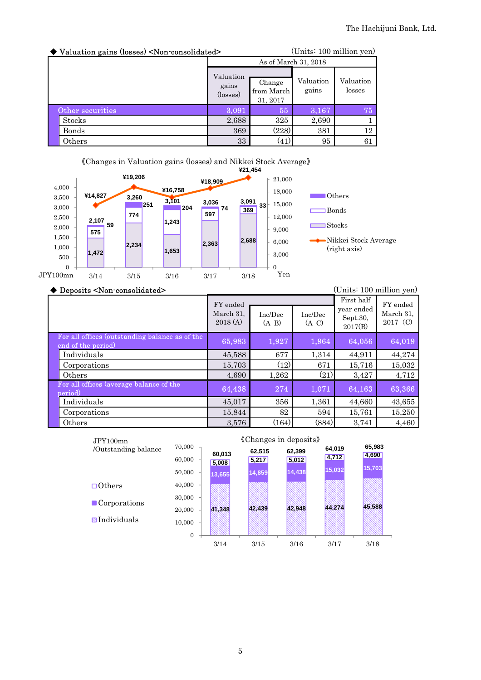| ◆ Valuation gains (losses) <non-consolidated></non-consolidated> |                                         | (Units: 100 million yen)         |                    |                     |  |
|------------------------------------------------------------------|-----------------------------------------|----------------------------------|--------------------|---------------------|--|
|                                                                  | As of March 31, 2018                    |                                  |                    |                     |  |
|                                                                  | Valuation<br>gains<br>$(\text{losses})$ | Change<br>from March<br>31, 2017 | Valuation<br>gains | Valuation<br>losses |  |
| Other securities                                                 | 3,091                                   | 55                               | 3,167              | 75                  |  |
| <b>Stocks</b>                                                    | 2,688                                   | 325                              | 2,690              |                     |  |
| Bonds                                                            | 369                                     | (228)                            | 381                | 12                  |  |
| Others                                                           | 33                                      | (41)                             | 95                 | 61                  |  |



#### ◆ Deposits <Non-consolidated> (Units: 100 million yen)

|                                                                      | FY ended<br>March 31,<br>2018(A) | Inc/Dec<br>$(A-B)$ | Inc/Dec<br>$(A-C)$ | First half<br>year ended<br>Sept.30,<br>2017(B) | FY ended<br>March 31,<br>2017 (C) |
|----------------------------------------------------------------------|----------------------------------|--------------------|--------------------|-------------------------------------------------|-----------------------------------|
| For all offices (outstanding balance as of the<br>end of the period) | 65,983                           | 1,927              | 1,964              | 64,056                                          | 64,019                            |
| Individuals                                                          | 45,588                           | 677                | 1,314              | 44,911                                          | 44,274                            |
| Corporations                                                         | 15,703                           | (12)               | 671                | 15,716                                          | 15,032                            |
| Others                                                               | 4,690                            | 1,262              | (21)               | 3,427                                           | 4,712                             |
| For all offices (average balance of the<br>period)                   | 64,438                           | 274                | 1,071              | 64,163                                          | 63,366                            |
| Individuals                                                          | 45,017                           | 356                | 1,361              | 44,660                                          | 43,655                            |
| Corporations                                                         | 15,844                           | 82                 | 594                | 15,761                                          | 15,250                            |
| Others                                                               | 3,576                            | (164)              | (884)              | 3,741                                           | 4,460                             |

| JPY100mn                    |                  | «Changes in deposits» |                 |                 |                 |                 |  |  |
|-----------------------------|------------------|-----------------------|-----------------|-----------------|-----------------|-----------------|--|--|
| /Outstanding balance        | 70,000<br>60,000 | 60,013<br>5,008       | 62,515<br>5,217 | 62,399<br>5,012 | 64,019<br>4,712 | 65,983<br>4,690 |  |  |
|                             | 50,000           | 13,655                | 14,859          | 14,438          | 15,032          | 15,703          |  |  |
| $\Box$ Others               | 40,000           |                       |                 |                 |                 |                 |  |  |
| $\blacksquare$ Corporations | 30,000           |                       |                 |                 |                 |                 |  |  |
|                             | 20,000           | 41,348                | 42 439          | 42,948          | 44.274          | 45,588          |  |  |
| <b>N</b> Individuals        | 10,000           |                       |                 |                 |                 |                 |  |  |
|                             | $\overline{0}$   |                       |                 |                 |                 |                 |  |  |
|                             |                  | 3/14                  | 3/15            | 3/16            | 3/17            | 3/18            |  |  |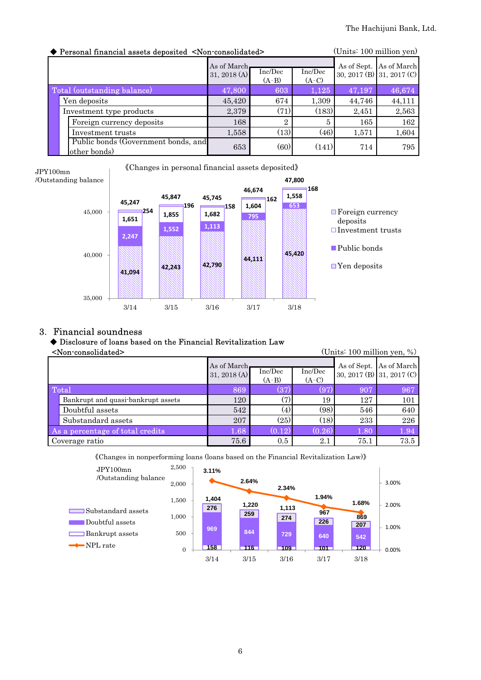| Personal financial assets deposited <non-consolidated></non-consolidated> | (Units: 100 million yen) |                    |                    |        |                           |
|---------------------------------------------------------------------------|--------------------------|--------------------|--------------------|--------|---------------------------|
|                                                                           | As of March              |                    |                    |        | As of Sept. As of March   |
|                                                                           | 31, 2018 (A)             | Inc/Dec<br>$(A-B)$ | Inc/Dec<br>$(A-C)$ |        | 30, 2017 (B) 31, 2017 (C) |
| Total (outstanding balance)                                               | 47,800                   | 603                | 1,125              | 47,197 | 46,674                    |
| Yen deposits                                                              | 45,420                   | 674                | 1,309              | 44,746 | 44,111                    |
| Investment type products                                                  | 2,379                    | (71)               | (183)              | 2,451  | 2,563                     |
| Foreign currency deposits                                                 | 168                      | $\overline{2}$     | 5                  | 165    | 162                       |
| Investment trusts                                                         | 1,558                    | (13)               | (46)               | 1,571  | 1,604                     |
| Public bonds (Government bonds, and<br>other bonds)                       | 653                      | (60)               | (141)              | 714    | 795                       |

**47,800**  《Changes in personal financial assets deposited》



### 3. Financial soundness

JPY100mn

#### ◆ Disclosure of loans based on the Financial Revitalization Law

| <non-consolidated><br/>(Units: <math>100</math> million yen, %)</non-consolidated> |                                    |                             |                      |                    |      |                                                      |
|------------------------------------------------------------------------------------|------------------------------------|-----------------------------|----------------------|--------------------|------|------------------------------------------------------|
|                                                                                    |                                    | As of March<br>31, 2018 (A) | Inc/Dec<br>$(A-B)$   | Inc/Dec<br>$(A-C)$ |      | As of Sept. As of March<br>30, 2017 (B) 31, 2017 (C) |
| Total                                                                              |                                    | 869                         | (37)                 | (97)               | 907  | 967                                                  |
|                                                                                    | Bankrupt and quasi-bankrupt assets | 120                         | (7)                  | 19                 | 127  | 101                                                  |
|                                                                                    | Doubtful assets                    | 542                         | (4)                  | (98)               | 546  | 640                                                  |
|                                                                                    | Substandard assets                 | 207                         | (25)                 | (18)               | 233  | 226                                                  |
| As a percentage of total credits                                                   |                                    | $1.68^\circ$                | $\left( 0.12\right)$ | (0.26)             | 1.80 | 1.94                                                 |
| Coverage ratio                                                                     |                                    | 75.6                        | 0.5                  | 2.1                | 75.1 | 73.5                                                 |

《Changes in nonperforming loans (loans based on the Financial Revitalization Law)》

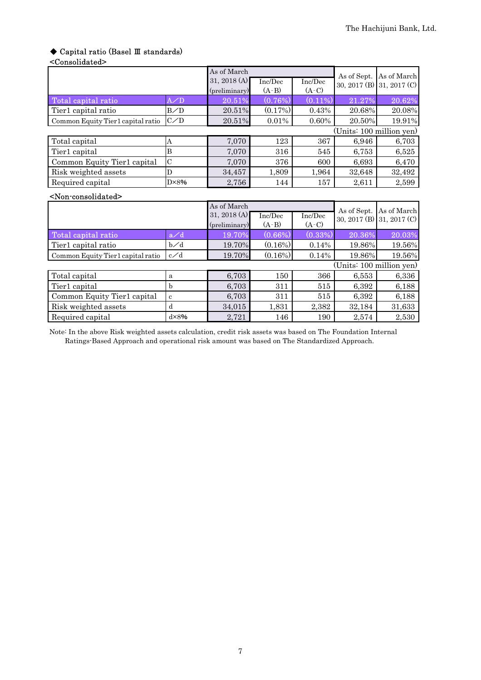## ◆ Capital ratio (Basel Ⅲ standards)

#### <Consolidated>

|                                       |                | As of March   |            |            | As of Sept.              | As of March               |
|---------------------------------------|----------------|---------------|------------|------------|--------------------------|---------------------------|
|                                       |                | 31, 2018 (A)  | Inc/Dec    | Inc/Dec    |                          | 30, 2017 (B) 31, 2017 (C) |
|                                       |                | (preliminary) | $(A-B)$    | $(A-C)$    |                          |                           |
| Total capital ratio                   | $A$ /D         | 20.51%        | (0.76%)    | $(0.11\%)$ | 21.27%                   | 20.62%                    |
| Tier1 capital ratio                   | B/D            | 20.51%        | (0.17%)    | 0.43%      | 20.68%                   | 20.08%                    |
| Common Equity Tier1 capital ratio     | C/D            | 20.51%        | 0.01%      | 0.60%      | 20.50%                   | 19.91%                    |
|                                       |                |               |            |            | (Units: 100 million yen) |                           |
| Total capital                         | A              | 7,070         | 123        | 367        | 6,946                    | 6,703                     |
| Tier1 capital                         | B              | 7,070         | 316        | 545        | 6,753                    | 6,525                     |
| Common Equity Tier1 capital           | $\mathbf C$    | 7,070         | 376        | 600        | 6,693                    | 6,470                     |
| Risk weighted assets                  | D              | 34,457        | 1,809      | 1,964      | 32,648                   | 32,492                    |
| Required capital                      | $D \times 8\%$ | 2,756         | 144        | 157        | 2,611                    | 2,599                     |
| <non-consolidated></non-consolidated> |                |               |            |            |                          |                           |
|                                       |                | As of March   |            |            | As of Sept.              | As of March               |
|                                       |                | 31, 2018 (A)  | Inc/Dec    | Inc/Dec    |                          | 30, 2017 (B) 31, 2017 (C) |
|                                       |                | (preliminary) | $(A-B)$    | $(A-C)$    |                          |                           |
| Total capital ratio                   | a/d            | 19.70%        | (0.66%)    | (0.33%)    | 20.36%                   | 20.03%                    |
| Tier1 capital ratio                   | $b\diagup d$   | 19.70%        | (0.16%)    | 0.14%      | 19.86%                   | 19.56%                    |
| Common Equity Tier1 capital ratio     | $c \angle d$   | 19.70%        | $(0.16\%)$ | 0.14%      | 19.86%                   | 19.56%                    |
|                                       |                |               |            |            |                          | (Units: 100 million yen)  |
| Total capital                         | $\mathbf{a}$   | 6,703         | 150        | 366        | 6,553                    | 6,336                     |
| Tier1 capital                         | $\mathbf b$    | 6,703         | 311        | 515        | 6,392                    | 6,188                     |

Note: In the above Risk weighted assets calculation, credit risk assets was based on The Foundation Internal Ratings-Based Approach and operational risk amount was based on The Standardized Approach.

Common Equity Tier1 capital c 6,703 311 515 6,392 6,188 Risk weighted assets d  $\begin{array}{|l|l|} \hline \end{array}$  34,015 1,831 2,382 32,184 31,633 Required capital d×8% 2,721 146 190 2,574 2,530